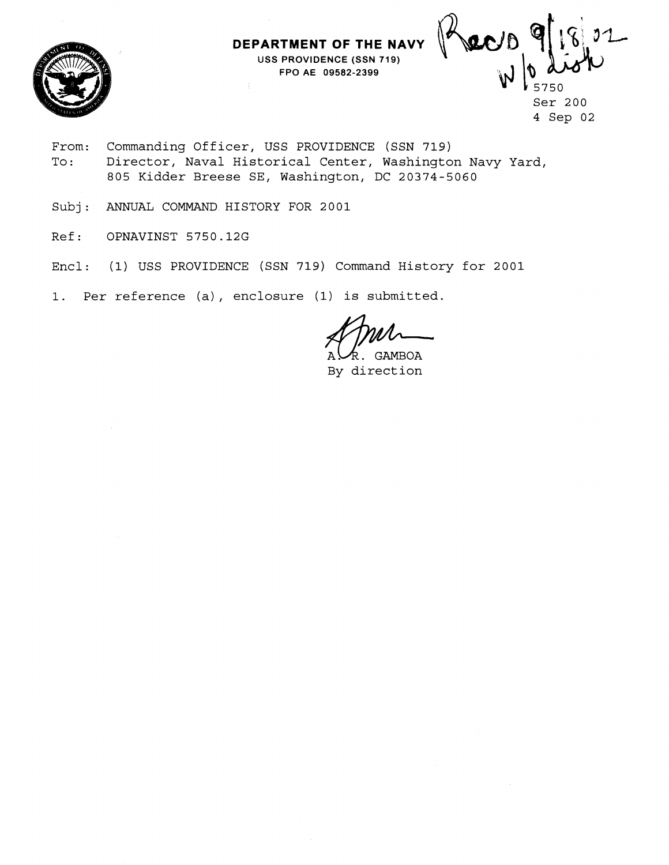**DEPARTMENT OF THE NAVY USS PROVIDENCE (SSN 719) FPO AE 09582-2399** 



 $J1$ recto Ser 200 4 Sep 02

- From: Commanding Officer, USS PROVIDENCE (SSN **719)**  To: Director, Naval Historical Center, Washington Navy Yard, 805 Kidder Breese SE, Washington, DC 20374-5060
- Subj: ANNUAL COMMAND HISTORY FOR 2001
- Ref: OPNAVINST 5750.12G
- Encl: (1) USS PROVIDENCE (SSN 719) Command History for 2001

1. Per reference (a), enclosure (1) is submitted.

**GAMBOA** 

By direction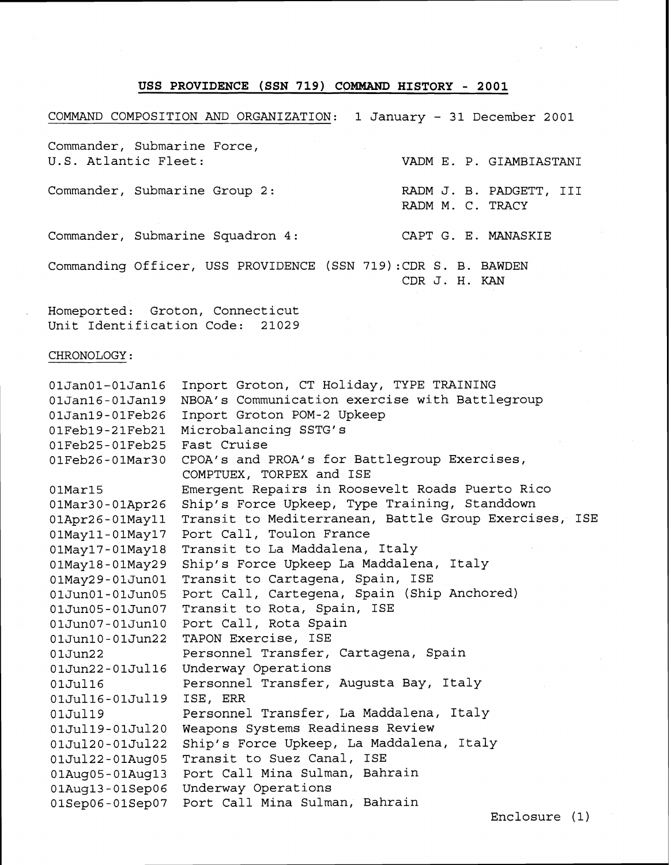## **USS PROVIDENCE (SSN 719) COMMAND HISTORY** - **2001**

COMMAND COMPOSITION AND ORGANIZATION: 1 January - 31 December 2001 Commander, Submarine Force,<br>U.S. Atlantic Fleet: VADM E. P. GIAMBIASTANI Commander, Submarine Group 2: RADM J. B. PADGETT, III RADM M. C. TRACY Commander, Submarine Squadron 4: CAPT G. E. MANASKIE Commanding Officer, USS PROVIDENCE (SSN 719):CDR S. B. BAWDEN CDR J. H. KAN

Homeported: Groton, Connecticut Unit Identification Code: 21029

## CHRONOLOGY:

| $01$ Jan $01-01$ Jan $16$   | Inport Groton, CT Holiday, TYPE TRAINING              |
|-----------------------------|-------------------------------------------------------|
| $01$ Jan $16 - 01$ Jan $19$ | NBOA's Communication exercise with Battlegroup        |
| 01Jan19-01Feb26             | Inport Groton POM-2 Upkeep                            |
| 01Feb19-21Feb21             | Microbalancing SSTG's                                 |
| 01Feb25-01Feb25             | Fast Cruise                                           |
| 01Feb26-01Mar30             | CPOA's and PROA's for Battlegroup Exercises,          |
|                             | COMPTUEX, TORPEX and ISE                              |
| $01$ Mar $15$               | Emergent Repairs in Roosevelt Roads Puerto Rico       |
| $01$ Mar $30-01$ Apr $26$   | Ship's Force Upkeep, Type Training, Standdown         |
| 01Apr26-01May11             | Transit to Mediterranean, Battle Group Exercises, ISE |
| 01May11-01May17             | Port Call, Toulon France                              |
| 01May17-01May18             | Transit to La Maddalena, Italy                        |
| 01May18-01May29             | Ship's Force Upkeep La Maddalena, Italy               |
| 01May29-01Jun01             | Transit to Cartagena, Spain, ISE                      |
| 01Jun01-01Jun05             | Port Call, Cartegena, Spain (Ship Anchored)           |
| 01Jun05-01Jun07             | Transit to Rota, Spain, ISE                           |
| 01Jun07-01Jun10             | Port Call, Rota Spain                                 |
| 01Jun10-01Jun22             | TAPON Exercise, ISE                                   |
| 01Jun22                     | Personnel Transfer, Cartagena, Spain                  |
| 01Jun22-01Jul16             | Underway Operations                                   |
| 01Jul16                     | Personnel Transfer, Augusta Bay, Italy                |
| 01Jul16-01Jul19             | ISE, ERR                                              |
| 01Jul19                     | Personnel Transfer, La Maddalena, Italy               |
| 01Jul19-01Jul20             | Weapons Systems Readiness Review                      |
| 01Jul20-01Jul22             | Ship's Force Upkeep, La Maddalena, Italy              |
| 01Jul22-01Aug05             | Transit to Suez Canal, ISE                            |
| $01Auq05 - 01Auq13$         | Port Call Mina Sulman, Bahrain                        |
| 01Auq13-01Sep06             | Underway Operations                                   |
| 01Sep06-01Sep07             | Port Call Mina Sulman, Bahrain                        |

Enclosure (1)